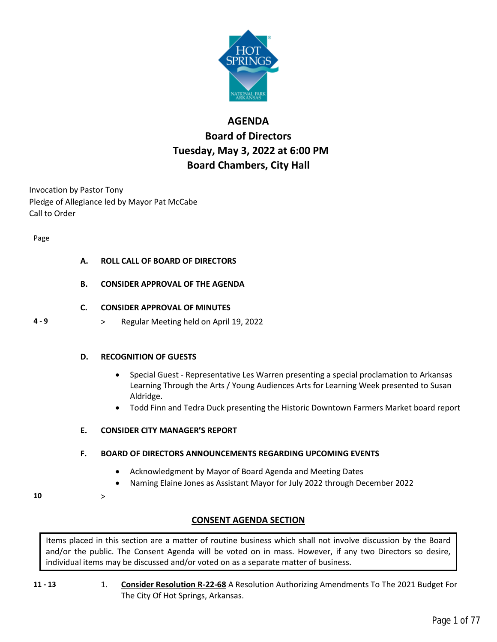

# **AGENDA Board of Directors Tuesday, May 3, 2022 at 6:00 PM Board Chambers, City Hall**

Invocation by Pastor Tony Pledge of Allegiance led by Mayor Pat McCabe Call to Order

Page

- **A. ROLL CALL OF BOARD OF DIRECTORS**
- **B. CONSIDER APPROVAL OF THE AGENDA**

## **C. CONSIDER APPROVAL OF MINUTES**

**4 - 9** > Regular Meeting held on April 19, 2022

#### **D. RECOGNITION OF GUESTS**

- Special Guest Representative Les Warren presenting a special proclamation to Arkansas Learning Through the Arts / Young Audiences Arts for Learning Week presented to Susan Aldridge.
- Todd Finn and Tedra Duck presenting the Historic Downtown Farmers Market board report

#### **E. CONSIDER CITY MANAGER'S REPORT**

# **F. BOARD OF DIRECTORS ANNOUNCEMENTS REGARDING UPCOMING EVENTS**

- Acknowledgment by Mayor of Board Agenda and Meeting Dates
- Naming Elaine Jones as Assistant Mayor for July 2022 through December 2022
- **10** >

# **CONSENT AGENDA SECTION**

Items placed in this section are a matter of routine business which shall not involve discussion by the Board and/or the public. The Consent Agenda will be voted on in mass. However, if any two Directors so desire, individual items may be discussed and/or voted on as a separate matter of business.

**11 - 13** 1. **Consider Resolution R-22-68** A Resolution Authorizing Amendments To The 2021 Budget For The City Of Hot Springs, Arkansas.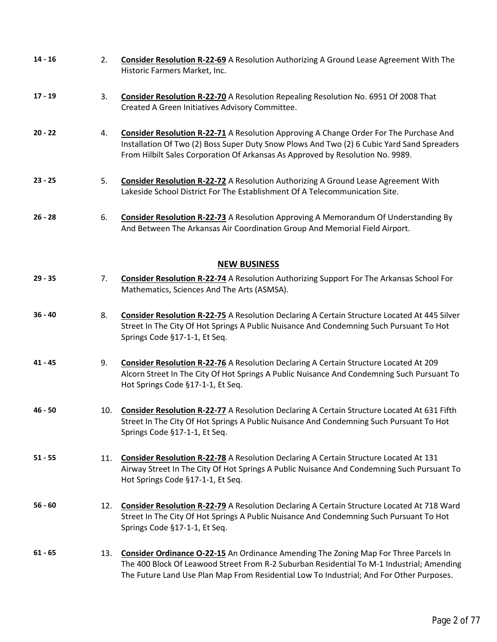| $14 - 16$ | 2.  | <b>Consider Resolution R-22-69 A Resolution Authorizing A Ground Lease Agreement With The</b><br>Historic Farmers Market, Inc.                                                                                                                                                |
|-----------|-----|-------------------------------------------------------------------------------------------------------------------------------------------------------------------------------------------------------------------------------------------------------------------------------|
| $17 - 19$ | 3.  | <b>Consider Resolution R-22-70</b> A Resolution Repealing Resolution No. 6951 Of 2008 That<br>Created A Green Initiatives Advisory Committee.                                                                                                                                 |
| $20 - 22$ | 4.  | <b>Consider Resolution R-22-71</b> A Resolution Approving A Change Order For The Purchase And<br>Installation Of Two (2) Boss Super Duty Snow Plows And Two (2) 6 Cubic Yard Sand Spreaders<br>From Hilbilt Sales Corporation Of Arkansas As Approved by Resolution No. 9989. |
| $23 - 25$ | 5.  | <b>Consider Resolution R-22-72</b> A Resolution Authorizing A Ground Lease Agreement With<br>Lakeside School District For The Establishment Of A Telecommunication Site.                                                                                                      |
| $26 - 28$ | 6.  | <b>Consider Resolution R-22-73</b> A Resolution Approving A Memorandum Of Understanding By<br>And Between The Arkansas Air Coordination Group And Memorial Field Airport.                                                                                                     |
|           |     | <b>NEW BUSINESS</b>                                                                                                                                                                                                                                                           |
| $29 - 35$ | 7.  | <b>Consider Resolution R-22-74</b> A Resolution Authorizing Support For The Arkansas School For<br>Mathematics, Sciences And The Arts (ASMSA).                                                                                                                                |
| $36 - 40$ | 8.  | <b>Consider Resolution R-22-75</b> A Resolution Declaring A Certain Structure Located At 445 Silver<br>Street In The City Of Hot Springs A Public Nuisance And Condemning Such Pursuant To Hot<br>Springs Code §17-1-1, Et Seq.                                               |
| $41 - 45$ | 9.  | Consider Resolution R-22-76 A Resolution Declaring A Certain Structure Located At 209<br>Alcorn Street In The City Of Hot Springs A Public Nuisance And Condemning Such Pursuant To<br>Hot Springs Code §17-1-1, Et Seq.                                                      |
| $46 - 50$ | 10. | <b>Consider Resolution R-22-77</b> A Resolution Declaring A Certain Structure Located At 631 Fifth<br>Street In The City Of Hot Springs A Public Nuisance And Condemning Such Pursuant To Hot<br>Springs Code §17-1-1, Et Seq.                                                |
| $51 - 55$ | 11. | Consider Resolution R-22-78 A Resolution Declaring A Certain Structure Located At 131<br>Airway Street In The City Of Hot Springs A Public Nuisance And Condemning Such Pursuant To<br>Hot Springs Code §17-1-1, Et Seq.                                                      |
| $56 - 60$ | 12. | <b>Consider Resolution R-22-79</b> A Resolution Declaring A Certain Structure Located At 718 Ward<br>Street In The City Of Hot Springs A Public Nuisance And Condemning Such Pursuant To Hot<br>Springs Code §17-1-1, Et Seq.                                                 |
| $61 - 65$ | 13. | Consider Ordinance O-22-15 An Ordinance Amending The Zoning Map For Three Parcels In<br>The 400 Block Of Leawood Street From R-2 Suburban Residential To M-1 Industrial; Amending<br>The Future Land Use Plan Map From Residential Low To Industrial; And For Other Purposes. |